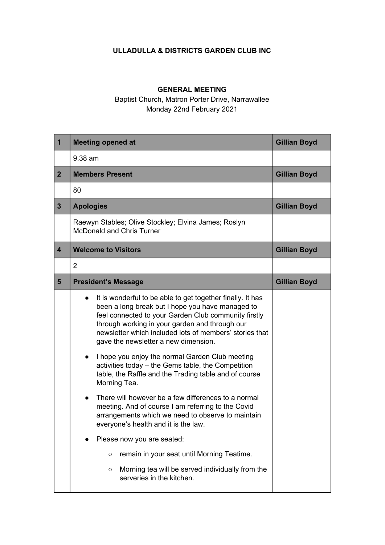## **ULLADULLA & DISTRICTS GARDEN CLUB INC**

## **GENERAL MEETING**

Baptist Church, Matron Porter Drive, Narrawallee Monday 22nd February 2021

| $\mathbf{1}$            | <b>Meeting opened at</b>                                                                                                                                                                                                                                                                                                                                                                                                                                                                                                                                                                                                                                                                                                                                                                                                                                                                                                | <b>Gillian Boyd</b> |
|-------------------------|-------------------------------------------------------------------------------------------------------------------------------------------------------------------------------------------------------------------------------------------------------------------------------------------------------------------------------------------------------------------------------------------------------------------------------------------------------------------------------------------------------------------------------------------------------------------------------------------------------------------------------------------------------------------------------------------------------------------------------------------------------------------------------------------------------------------------------------------------------------------------------------------------------------------------|---------------------|
|                         | 9.38 am                                                                                                                                                                                                                                                                                                                                                                                                                                                                                                                                                                                                                                                                                                                                                                                                                                                                                                                 |                     |
| 2 <sup>2</sup>          | <b>Members Present</b>                                                                                                                                                                                                                                                                                                                                                                                                                                                                                                                                                                                                                                                                                                                                                                                                                                                                                                  | <b>Gillian Boyd</b> |
|                         | 80                                                                                                                                                                                                                                                                                                                                                                                                                                                                                                                                                                                                                                                                                                                                                                                                                                                                                                                      |                     |
| $\mathbf{3}$            | <b>Apologies</b>                                                                                                                                                                                                                                                                                                                                                                                                                                                                                                                                                                                                                                                                                                                                                                                                                                                                                                        | <b>Gillian Boyd</b> |
|                         | Raewyn Stables; Olive Stockley; Elvina James; Roslyn<br><b>McDonald and Chris Turner</b>                                                                                                                                                                                                                                                                                                                                                                                                                                                                                                                                                                                                                                                                                                                                                                                                                                |                     |
| $\overline{\mathbf{4}}$ | <b>Welcome to Visitors</b>                                                                                                                                                                                                                                                                                                                                                                                                                                                                                                                                                                                                                                                                                                                                                                                                                                                                                              | <b>Gillian Boyd</b> |
|                         | $\overline{2}$                                                                                                                                                                                                                                                                                                                                                                                                                                                                                                                                                                                                                                                                                                                                                                                                                                                                                                          |                     |
| $5\phantom{1}$          | <b>President's Message</b>                                                                                                                                                                                                                                                                                                                                                                                                                                                                                                                                                                                                                                                                                                                                                                                                                                                                                              | <b>Gillian Boyd</b> |
|                         | It is wonderful to be able to get together finally. It has<br>been a long break but I hope you have managed to<br>feel connected to your Garden Club community firstly<br>through working in your garden and through our<br>newsletter which included lots of members' stories that<br>gave the newsletter a new dimension.<br>I hope you enjoy the normal Garden Club meeting<br>$\bullet$<br>activities today - the Gems table, the Competition<br>table, the Raffle and the Trading table and of course<br>Morning Tea.<br>There will however be a few differences to a normal<br>meeting. And of course I am referring to the Covid<br>arrangements which we need to observe to maintain<br>everyone's health and it is the law.<br>Please now you are seated:<br>remain in your seat until Morning Teatime.<br>$\circ$<br>Morning tea will be served individually from the<br>$\circ$<br>serveries in the kitchen. |                     |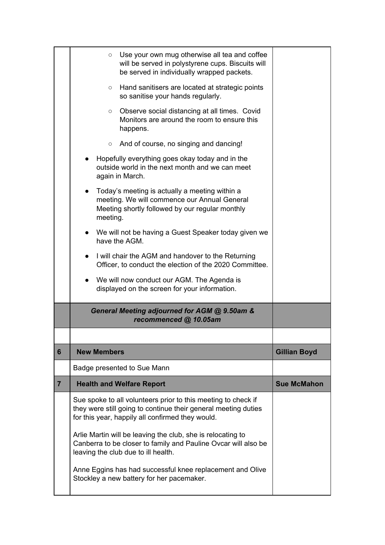|                | Use your own mug otherwise all tea and coffee<br>$\circ$<br>will be served in polystyrene cups. Biscuits will<br>be served in individually wrapped packets.                         |                     |
|----------------|-------------------------------------------------------------------------------------------------------------------------------------------------------------------------------------|---------------------|
|                | Hand sanitisers are located at strategic points<br>$\circ$<br>so sanitise your hands regularly.                                                                                     |                     |
|                | Observe social distancing at all times. Covid<br>$\circ$<br>Monitors are around the room to ensure this<br>happens.                                                                 |                     |
|                | $\circ$ And of course, no singing and dancing!                                                                                                                                      |                     |
|                | Hopefully everything goes okay today and in the<br>outside world in the next month and we can meet<br>again in March.                                                               |                     |
|                | Today's meeting is actually a meeting within a<br>meeting. We will commence our Annual General<br>Meeting shortly followed by our regular monthly<br>meeting.                       |                     |
|                | We will not be having a Guest Speaker today given we<br>have the AGM.                                                                                                               |                     |
|                | I will chair the AGM and handover to the Returning<br>Officer, to conduct the election of the 2020 Committee.                                                                       |                     |
|                | We will now conduct our AGM. The Agenda is<br>displayed on the screen for your information.                                                                                         |                     |
|                | General Meeting adjourned for AGM @ 9.50am &<br>recommenced @ 10.05am                                                                                                               |                     |
|                |                                                                                                                                                                                     |                     |
| 6              | <b>New Members</b>                                                                                                                                                                  | <b>Gillian Boyd</b> |
|                | Badge presented to Sue Mann                                                                                                                                                         |                     |
| $\overline{7}$ | <b>Health and Welfare Report</b>                                                                                                                                                    | <b>Sue McMahon</b>  |
|                | Sue spoke to all volunteers prior to this meeting to check if<br>they were still going to continue their general meeting duties<br>for this year, happily all confirmed they would. |                     |
|                | Arlie Martin will be leaving the club, she is relocating to<br>Canberra to be closer to family and Pauline Ovcar will also be<br>leaving the club due to ill health.                |                     |
|                | Anne Eggins has had successful knee replacement and Olive<br>Stockley a new battery for her pacemaker.                                                                              |                     |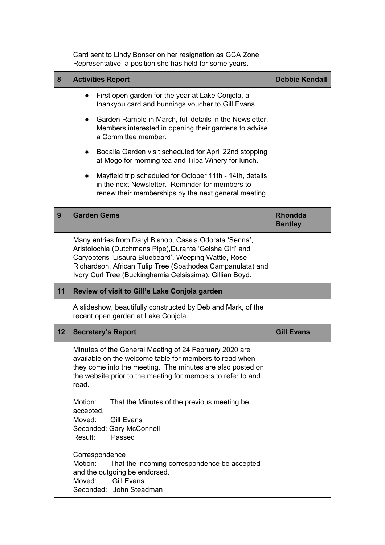|    | Card sent to Lindy Bonser on her resignation as GCA Zone<br>Representative, a position she has held for some years.                                                                                                                                                                                    |                                  |
|----|--------------------------------------------------------------------------------------------------------------------------------------------------------------------------------------------------------------------------------------------------------------------------------------------------------|----------------------------------|
| 8  | <b>Activities Report</b>                                                                                                                                                                                                                                                                               | <b>Debbie Kendall</b>            |
|    | First open garden for the year at Lake Conjola, a<br>thankyou card and bunnings voucher to Gill Evans.                                                                                                                                                                                                 |                                  |
|    | Garden Ramble in March, full details in the Newsletter.<br>$\bullet$<br>Members interested in opening their gardens to advise<br>a Committee member.                                                                                                                                                   |                                  |
|    | Bodalla Garden visit scheduled for April 22nd stopping<br>$\bullet$<br>at Mogo for morning tea and Tilba Winery for lunch.                                                                                                                                                                             |                                  |
|    | Mayfield trip scheduled for October 11th - 14th, details<br>in the next Newsletter. Reminder for members to<br>renew their memberships by the next general meeting.                                                                                                                                    |                                  |
| 9  | <b>Garden Gems</b>                                                                                                                                                                                                                                                                                     | <b>Rhondda</b><br><b>Bentley</b> |
|    | Many entries from Daryl Bishop, Cassia Odorata 'Senna',<br>Aristolochia (Dutchmans Pipe), Duranta 'Geisha Girl' and<br>Caryopteris 'Lisaura Bluebeard'. Weeping Wattle, Rose<br>Richardson, African Tulip Tree (Spathodea Campanulata) and<br>Ivory Curl Tree (Buckinghamia Celsissima), Gillian Boyd. |                                  |
| 11 | Review of visit to Gill's Lake Conjola garden                                                                                                                                                                                                                                                          |                                  |
|    | A slideshow, beautifully constructed by Deb and Mark, of the<br>recent open garden at Lake Conjola.                                                                                                                                                                                                    |                                  |
| 12 | <b>Secretary's Report</b>                                                                                                                                                                                                                                                                              | <b>Gill Evans</b>                |
|    | Minutes of the General Meeting of 24 February 2020 are<br>available on the welcome table for members to read when<br>they come into the meeting. The minutes are also posted on<br>the website prior to the meeting for members to refer to and<br>read.                                               |                                  |
|    | Motion:<br>That the Minutes of the previous meeting be.<br>accepted.<br>Moved:<br><b>Gill Evans</b><br>Seconded: Gary McConnell<br>Result:<br>Passed                                                                                                                                                   |                                  |
|    | Correspondence<br>Motion:<br>That the incoming correspondence be accepted<br>and the outgoing be endorsed.<br><b>Gill Evans</b><br>Moved:<br>Seconded: John Steadman                                                                                                                                   |                                  |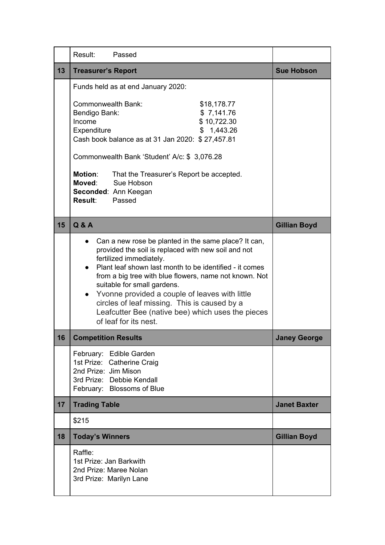|    | Result:<br>Passed                                                                                                                                                                                                                                                                                                                                                                                                                                                                       |                     |
|----|-----------------------------------------------------------------------------------------------------------------------------------------------------------------------------------------------------------------------------------------------------------------------------------------------------------------------------------------------------------------------------------------------------------------------------------------------------------------------------------------|---------------------|
| 13 | <b>Treasurer's Report</b>                                                                                                                                                                                                                                                                                                                                                                                                                                                               | <b>Sue Hobson</b>   |
|    | Funds held as at end January 2020:                                                                                                                                                                                                                                                                                                                                                                                                                                                      |                     |
|    | <b>Commonwealth Bank:</b><br>\$18,178.77<br>\$7,141.76<br>Bendigo Bank:<br>Income<br>\$10,722.30<br>Expenditure<br>\$1,443.26<br>Cash book balance as at 31 Jan 2020: \$27,457.81                                                                                                                                                                                                                                                                                                       |                     |
|    | Commonwealth Bank 'Student' A/c: \$ 3,076.28                                                                                                                                                                                                                                                                                                                                                                                                                                            |                     |
|    | <b>Motion:</b><br>That the Treasurer's Report be accepted.<br>Moved: Sue Hobson<br>Seconded: Ann Keegan<br><b>Result:</b> Passed                                                                                                                                                                                                                                                                                                                                                        |                     |
| 15 | <b>Q&amp;A</b>                                                                                                                                                                                                                                                                                                                                                                                                                                                                          | <b>Gillian Boyd</b> |
|    | Can a new rose be planted in the same place? It can,<br>provided the soil is replaced with new soil and not<br>fertilized immediately.<br>Plant leaf shown last month to be identified - it comes<br>from a big tree with blue flowers, name not known. Not<br>suitable for small gardens.<br>Yvonne provided a couple of leaves with little<br>$\bullet$<br>circles of leaf missing. This is caused by a<br>Leafcutter Bee (native bee) which uses the pieces<br>of leaf for its nest. |                     |
| 16 | <b>Competition Results</b>                                                                                                                                                                                                                                                                                                                                                                                                                                                              | Janey George        |
|    | February: Edible Garden<br>1st Prize: Catherine Craig<br>2nd Prize: Jim Mison<br>3rd Prize: Debbie Kendall<br>February: Blossoms of Blue                                                                                                                                                                                                                                                                                                                                                |                     |
| 17 | <b>Trading Table</b>                                                                                                                                                                                                                                                                                                                                                                                                                                                                    | <b>Janet Baxter</b> |
|    | \$215                                                                                                                                                                                                                                                                                                                                                                                                                                                                                   |                     |
| 18 | <b>Today's Winners</b>                                                                                                                                                                                                                                                                                                                                                                                                                                                                  | <b>Gillian Boyd</b> |
|    | Raffle:<br>1st Prize: Jan Barkwith<br>2nd Prize: Maree Nolan<br>3rd Prize: Marilyn Lane                                                                                                                                                                                                                                                                                                                                                                                                 |                     |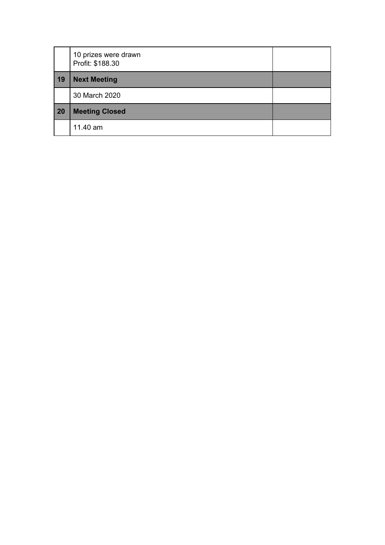|    | 10 prizes were drawn<br>Profit: \$188.30 |  |
|----|------------------------------------------|--|
| 19 | <b>Next Meeting</b>                      |  |
|    | 30 March 2020                            |  |
| 20 | <b>Meeting Closed</b>                    |  |
|    | 11.40 am                                 |  |